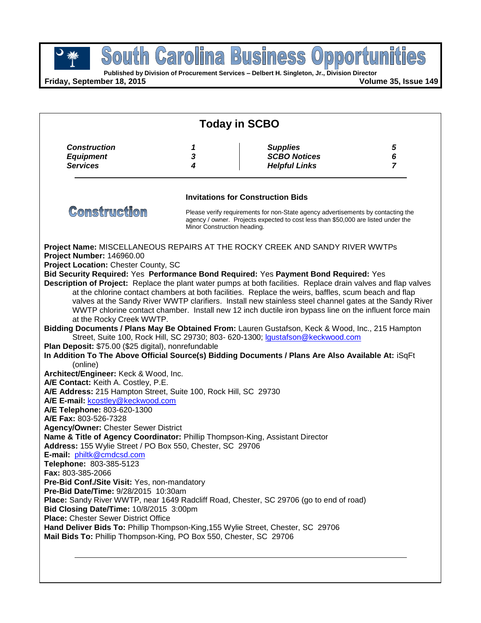

**Published by Division of Procurement Services – Delbert H. Singleton, Jr., Division Director**

**Friday, September 18, 2015 Volume 35, Issue 149**

| <b>Today in SCBO</b>                                                                                                                                                                                                                                                                                                                                                                                                                                                                                                                                                                                                                                                                                                                                                                                                                                |   |                                                                                                                                                                                                                   |                |
|-----------------------------------------------------------------------------------------------------------------------------------------------------------------------------------------------------------------------------------------------------------------------------------------------------------------------------------------------------------------------------------------------------------------------------------------------------------------------------------------------------------------------------------------------------------------------------------------------------------------------------------------------------------------------------------------------------------------------------------------------------------------------------------------------------------------------------------------------------|---|-------------------------------------------------------------------------------------------------------------------------------------------------------------------------------------------------------------------|----------------|
| <b>Construction</b>                                                                                                                                                                                                                                                                                                                                                                                                                                                                                                                                                                                                                                                                                                                                                                                                                                 | 1 | <b>Supplies</b>                                                                                                                                                                                                   | $\sqrt{5}$     |
| <b>Equipment</b>                                                                                                                                                                                                                                                                                                                                                                                                                                                                                                                                                                                                                                                                                                                                                                                                                                    | 3 | <b>SCBO Notices</b>                                                                                                                                                                                               | 6              |
| <b>Services</b>                                                                                                                                                                                                                                                                                                                                                                                                                                                                                                                                                                                                                                                                                                                                                                                                                                     | 4 | <b>Helpful Links</b>                                                                                                                                                                                              | $\overline{7}$ |
|                                                                                                                                                                                                                                                                                                                                                                                                                                                                                                                                                                                                                                                                                                                                                                                                                                                     |   | <b>Invitations for Construction Bids</b>                                                                                                                                                                          |                |
| <b>Construction</b>                                                                                                                                                                                                                                                                                                                                                                                                                                                                                                                                                                                                                                                                                                                                                                                                                                 |   | Please verify requirements for non-State agency advertisements by contacting the<br>agency / owner. Projects expected to cost less than \$50,000 are listed under the<br>Minor Construction heading.              |                |
| Project Number: 146960.00                                                                                                                                                                                                                                                                                                                                                                                                                                                                                                                                                                                                                                                                                                                                                                                                                           |   | Project Name: MISCELLANEOUS REPAIRS AT THE ROCKY CREEK AND SANDY RIVER WWTPs                                                                                                                                      |                |
| Project Location: Chester County, SC                                                                                                                                                                                                                                                                                                                                                                                                                                                                                                                                                                                                                                                                                                                                                                                                                |   |                                                                                                                                                                                                                   |                |
|                                                                                                                                                                                                                                                                                                                                                                                                                                                                                                                                                                                                                                                                                                                                                                                                                                                     |   | Bid Security Required: Yes Performance Bond Required: Yes Payment Bond Required: Yes                                                                                                                              |                |
|                                                                                                                                                                                                                                                                                                                                                                                                                                                                                                                                                                                                                                                                                                                                                                                                                                                     |   | Description of Project: Replace the plant water pumps at both facilities. Replace drain valves and flap valves                                                                                                    |                |
|                                                                                                                                                                                                                                                                                                                                                                                                                                                                                                                                                                                                                                                                                                                                                                                                                                                     |   | at the chlorine contact chambers at both facilities. Replace the weirs, baffles, scum beach and flap                                                                                                              |                |
|                                                                                                                                                                                                                                                                                                                                                                                                                                                                                                                                                                                                                                                                                                                                                                                                                                                     |   | valves at the Sandy River WWTP clarifiers. Install new stainless steel channel gates at the Sandy River<br>WWTP chlorine contact chamber. Install new 12 inch ductile iron bypass line on the influent force main |                |
| at the Rocky Creek WWTP.                                                                                                                                                                                                                                                                                                                                                                                                                                                                                                                                                                                                                                                                                                                                                                                                                            |   |                                                                                                                                                                                                                   |                |
|                                                                                                                                                                                                                                                                                                                                                                                                                                                                                                                                                                                                                                                                                                                                                                                                                                                     |   | Bidding Documents / Plans May Be Obtained From: Lauren Gustafson, Keck & Wood, Inc., 215 Hampton                                                                                                                  |                |
|                                                                                                                                                                                                                                                                                                                                                                                                                                                                                                                                                                                                                                                                                                                                                                                                                                                     |   |                                                                                                                                                                                                                   |                |
|                                                                                                                                                                                                                                                                                                                                                                                                                                                                                                                                                                                                                                                                                                                                                                                                                                                     |   |                                                                                                                                                                                                                   |                |
|                                                                                                                                                                                                                                                                                                                                                                                                                                                                                                                                                                                                                                                                                                                                                                                                                                                     |   | Street, Suite 100, Rock Hill, SC 29730; 803- 620-1300; Igustafson@keckwood.com                                                                                                                                    |                |
|                                                                                                                                                                                                                                                                                                                                                                                                                                                                                                                                                                                                                                                                                                                                                                                                                                                     |   |                                                                                                                                                                                                                   |                |
|                                                                                                                                                                                                                                                                                                                                                                                                                                                                                                                                                                                                                                                                                                                                                                                                                                                     |   | In Addition To The Above Official Source(s) Bidding Documents / Plans Are Also Available At: iSqFt                                                                                                                |                |
| (online)                                                                                                                                                                                                                                                                                                                                                                                                                                                                                                                                                                                                                                                                                                                                                                                                                                            |   |                                                                                                                                                                                                                   |                |
|                                                                                                                                                                                                                                                                                                                                                                                                                                                                                                                                                                                                                                                                                                                                                                                                                                                     |   |                                                                                                                                                                                                                   |                |
|                                                                                                                                                                                                                                                                                                                                                                                                                                                                                                                                                                                                                                                                                                                                                                                                                                                     |   |                                                                                                                                                                                                                   |                |
|                                                                                                                                                                                                                                                                                                                                                                                                                                                                                                                                                                                                                                                                                                                                                                                                                                                     |   |                                                                                                                                                                                                                   |                |
|                                                                                                                                                                                                                                                                                                                                                                                                                                                                                                                                                                                                                                                                                                                                                                                                                                                     |   |                                                                                                                                                                                                                   |                |
|                                                                                                                                                                                                                                                                                                                                                                                                                                                                                                                                                                                                                                                                                                                                                                                                                                                     |   |                                                                                                                                                                                                                   |                |
|                                                                                                                                                                                                                                                                                                                                                                                                                                                                                                                                                                                                                                                                                                                                                                                                                                                     |   |                                                                                                                                                                                                                   |                |
|                                                                                                                                                                                                                                                                                                                                                                                                                                                                                                                                                                                                                                                                                                                                                                                                                                                     |   |                                                                                                                                                                                                                   |                |
|                                                                                                                                                                                                                                                                                                                                                                                                                                                                                                                                                                                                                                                                                                                                                                                                                                                     |   |                                                                                                                                                                                                                   |                |
|                                                                                                                                                                                                                                                                                                                                                                                                                                                                                                                                                                                                                                                                                                                                                                                                                                                     |   |                                                                                                                                                                                                                   |                |
|                                                                                                                                                                                                                                                                                                                                                                                                                                                                                                                                                                                                                                                                                                                                                                                                                                                     |   |                                                                                                                                                                                                                   |                |
|                                                                                                                                                                                                                                                                                                                                                                                                                                                                                                                                                                                                                                                                                                                                                                                                                                                     |   |                                                                                                                                                                                                                   |                |
|                                                                                                                                                                                                                                                                                                                                                                                                                                                                                                                                                                                                                                                                                                                                                                                                                                                     |   |                                                                                                                                                                                                                   |                |
|                                                                                                                                                                                                                                                                                                                                                                                                                                                                                                                                                                                                                                                                                                                                                                                                                                                     |   |                                                                                                                                                                                                                   |                |
|                                                                                                                                                                                                                                                                                                                                                                                                                                                                                                                                                                                                                                                                                                                                                                                                                                                     |   | Place: Sandy River WWTP, near 1649 Radcliff Road, Chester, SC 29706 (go to end of road)                                                                                                                           |                |
|                                                                                                                                                                                                                                                                                                                                                                                                                                                                                                                                                                                                                                                                                                                                                                                                                                                     |   |                                                                                                                                                                                                                   |                |
| Plan Deposit: \$75.00 (\$25 digital), nonrefundable<br>Architect/Engineer: Keck & Wood, Inc.<br>A/E Contact: Keith A. Costley, P.E.<br>A/E Address: 215 Hampton Street, Suite 100, Rock Hill, SC 29730<br>A/E E-mail: kcostley@keckwood.com<br>A/E Telephone: 803-620-1300<br>A/E Fax: 803-526-7328<br><b>Agency/Owner: Chester Sewer District</b><br>Name & Title of Agency Coordinator: Phillip Thompson-King, Assistant Director<br>Address: 155 Wylie Street / PO Box 550, Chester, SC 29706<br>E-mail: philtk@cmdcsd.com<br>Telephone: 803-385-5123<br>Fax: 803-385-2066<br>Pre-Bid Conf./Site Visit: Yes, non-mandatory<br>Pre-Bid Date/Time: 9/28/2015 10:30am<br>Bid Closing Date/Time: 10/8/2015 3:00pm<br><b>Place:</b> Chester Sewer District Office<br>Hand Deliver Bids To: Phillip Thompson-King, 155 Wylie Street, Chester, SC 29706 |   |                                                                                                                                                                                                                   |                |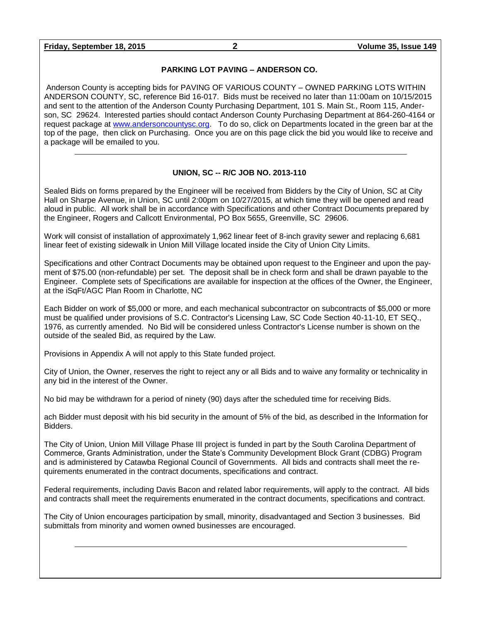**Friday, September 18, 2015 2 Volume 35, Issue 149**

#### **PARKING LOT PAVING – ANDERSON CO.**

Anderson County is accepting bids for PAVING OF VARIOUS COUNTY – OWNED PARKING LOTS WITHIN ANDERSON COUNTY, SC, reference Bid 16-017. Bids must be received no later than 11:00am on 10/15/2015 and sent to the attention of the Anderson County Purchasing Department, 101 S. Main St., Room 115, Anderson, SC 29624. Interested parties should contact Anderson County Purchasing Department at 864-260-4164 or request package at [www.andersoncountysc.org.](http://www.andersoncountysc.org/) To do so, click on Departments located in the green bar at the top of the page, then click on Purchasing. Once you are on this page click the bid you would like to receive and a package will be emailed to you.

#### **UNION, SC -- R/C JOB NO. 2013-110**

Sealed Bids on forms prepared by the Engineer will be received from Bidders by the City of Union, SC at City Hall on Sharpe Avenue, in Union, SC until 2:00pm on 10/27/2015, at which time they will be opened and read aloud in public. All work shall be in accordance with Specifications and other Contract Documents prepared by the Engineer, Rogers and Callcott Environmental, PO Box 5655, Greenville, SC 29606.

Work will consist of installation of approximately 1,962 linear feet of 8-inch gravity sewer and replacing 6,681 linear feet of existing sidewalk in Union Mill Village located inside the City of Union City Limits.

Specifications and other Contract Documents may be obtained upon request to the Engineer and upon the payment of \$75.00 (non-refundable) per set. The deposit shall be in check form and shall be drawn payable to the Engineer. Complete sets of Specifications are available for inspection at the offices of the Owner, the Engineer, at the iSqFt/AGC Plan Room in Charlotte, NC

Each Bidder on work of \$5,000 or more, and each mechanical subcontractor on subcontracts of \$5,000 or more must be qualified under provisions of S.C. Contractor's Licensing Law, SC Code Section 40-11-10, ET SEQ., 1976, as currently amended. No Bid will be considered unless Contractor's License number is shown on the outside of the sealed Bid, as required by the Law.

Provisions in Appendix A will not apply to this State funded project.

City of Union, the Owner, reserves the right to reject any or all Bids and to waive any formality or technicality in any bid in the interest of the Owner.

No bid may be withdrawn for a period of ninety (90) days after the scheduled time for receiving Bids.

ach Bidder must deposit with his bid security in the amount of 5% of the bid, as described in the Information for Bidders.

The City of Union, Union Mill Village Phase III project is funded in part by the South Carolina Department of Commerce, Grants Administration, under the State's Community Development Block Grant (CDBG) Program and is administered by Catawba Regional Council of Governments. All bids and contracts shall meet the requirements enumerated in the contract documents, specifications and contract.

Federal requirements, including Davis Bacon and related labor requirements, will apply to the contract. All bids and contracts shall meet the requirements enumerated in the contract documents, specifications and contract.

The City of Union encourages participation by small, minority, disadvantaged and Section 3 businesses. Bid submittals from minority and women owned businesses are encouraged.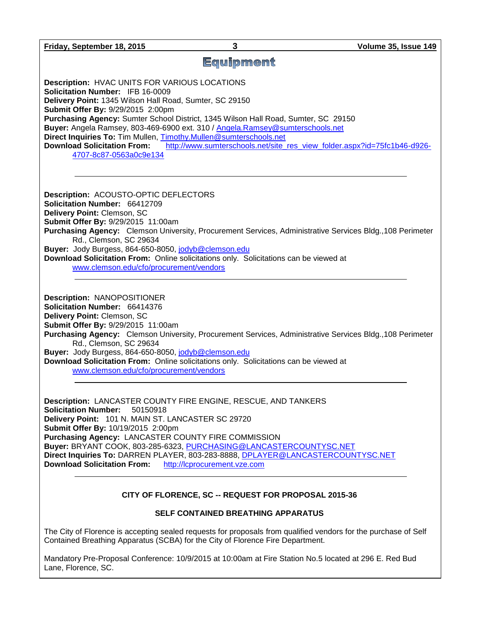**Friday, September 18, 2015 3 Volume 35, Issue 149**

## **Equipment**

**Description:** HVAC UNITS FOR VARIOUS LOCATIONS **Solicitation Number:** IFB 16-0009 **Delivery Point:** 1345 Wilson Hall Road, Sumter, SC 29150 **Submit Offer By:** 9/29/2015 2:00pm **Purchasing Agency:** Sumter School District, 1345 Wilson Hall Road, Sumter, SC 29150 **Buyer:** Angela Ramsey, 803-469-6900 ext. 310 / [Angela.Ramsey@sumterschools.net](mailto:Angela.Ramsey@sumterschools.net) **Direct Inquiries To:** Tim Mullen, [Timothy.Mullen@sumterschools.net](mailto:Timothy.Mullen@sumterschools.net) **Download Solicitation From:** [http://www.sumterschools.net/site\\_res\\_view\\_folder.aspx?id=75fc1b46-d926-](http://www.sumterschools.net/site_res_view_folder.aspx?id=75fc1b46-d926-4707-8c87-0563a0c9e134) [4707-8c87-0563a0c9e134](http://www.sumterschools.net/site_res_view_folder.aspx?id=75fc1b46-d926-4707-8c87-0563a0c9e134)

**Description:** ACOUSTO-OPTIC DEFLECTORS **Solicitation Number:** 66412709 **Delivery Point:** Clemson, SC **Submit Offer By:** 9/29/2015 11:00am **Purchasing Agency:** Clemson University, Procurement Services, Administrative Services Bldg.,108 Perimeter Rd., Clemson, SC 29634 **Buyer:** Jody Burgess, 864-650-8050, [jodyb@clemson.edu](mailto:jodyb@clemson.edu) **Download Solicitation From:** Online solicitations only. Solicitations can be viewed at [www.clemson.edu/cfo/procurement/vendors](http://www.clemson.edu/cfo/procurement/vendors)

**Description:** NANOPOSITIONER **Solicitation Number:** 66414376 **Delivery Point:** Clemson, SC **Submit Offer By:** 9/29/2015 11:00am **Purchasing Agency:** Clemson University, Procurement Services, Administrative Services Bldg.,108 Perimeter Rd., Clemson, SC 29634 **Buyer:** Jody Burgess, 864-650-8050, [jodyb@clemson.edu](mailto:jodyb@clemson.edu) **Download Solicitation From:** Online solicitations only. Solicitations can be viewed at [www.clemson.edu/cfo/procurement/vendors](http://www.clemson.edu/cfo/procurement/vendors)

**Description:** LANCASTER COUNTY FIRE ENGINE, RESCUE, AND TANKERS **Solicitation Number:** 50150918 **Delivery Point:** 101 N. MAIN ST. LANCASTER SC 29720 **Submit Offer By:** 10/19/2015 2:00pm **Purchasing Agency:** LANCASTER COUNTY FIRE COMMISSION **Buyer:** BRYANT COOK, 803-285-6323, [PURCHASING@LANCASTERCOUNTYSC.NET](mailto:PURCHASING@LANCASTERCOUNTYSC.NET) **Direct Inquiries To:** DARREN PLAYER, 803-283-8888, [DPLAYER@LANCASTERCOUNTYSC.NET](mailto:DPLAYER@LANCASTERCOUNTYSC.NET) **Download Solicitation From:** [http://lcprocurement.vze.com](http://lcprocurement.vze.com/)

#### **CITY OF FLORENCE, SC -- REQUEST FOR PROPOSAL 2015-36**

#### **SELF CONTAINED BREATHING APPARATUS**

The City of Florence is accepting sealed requests for proposals from qualified vendors for the purchase of Self Contained Breathing Apparatus (SCBA) for the City of Florence Fire Department.

Mandatory Pre-Proposal Conference: 10/9/2015 at 10:00am at Fire Station No.5 located at 296 E. Red Bud Lane, Florence, SC.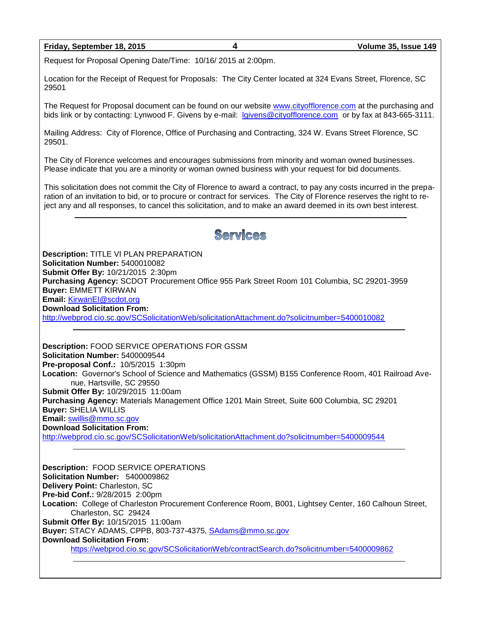#### **Friday, September 18, 2015 4 Volume 35, Issue 149**

Request for Proposal Opening Date/Time: 10/16/ 2015 at 2:00pm.

Location for the Receipt of Request for Proposals: The City Center located at 324 Evans Street, Florence, SC 29501

The Request for Proposal document can be found on our website [www.cityofflorence.com](http://www.cityofflorence.com/) at the purchasing and bids link or by contacting: Lynwood F. Givens by e-mail: [lgivens@cityofflorence.com](mailto:lgivens@cityofflorence.com) or by fax at 843-665-3111.

Mailing Address: City of Florence, Office of Purchasing and Contracting, 324 W. Evans Street Florence, SC 29501.

The City of Florence welcomes and encourages submissions from minority and woman owned businesses. Please indicate that you are a minority or woman owned business with your request for bid documents.

This solicitation does not commit the City of Florence to award a contract, to pay any costs incurred in the preparation of an invitation to bid, or to procure or contract for services. The City of Florence reserves the right to reject any and all responses, to cancel this solicitation, and to make an award deemed in its own best interest.

# Services

**Description:** TITLE VI PLAN PREPARATION **Solicitation Number:** 5400010082 **Submit Offer By:** 10/21/2015 2:30pm **Purchasing Agency:** SCDOT Procurement Office 955 Park Street Room 101 Columbia, SC 29201-3959 **Buyer:** EMMETT KIRWAN **Email:** [KirwanEI@scdot.org](mailto:KirwanEI@scdot.org) **Download Solicitation From:**  <http://webprod.cio.sc.gov/SCSolicitationWeb/solicitationAttachment.do?solicitnumber=5400010082>

**Description:** FOOD SERVICE OPERATIONS FOR GSSM **Solicitation Number:** 5400009544 **Pre-proposal Conf.:** 10/5/2015 1:30pm **Location:** Governor's School of Science and Mathematics (GSSM) B155 Conference Room, 401 Railroad Avenue, Hartsville, SC 29550 **Submit Offer By:** 10/29/2015 11:00am **Purchasing Agency:** Materials Management Office 1201 Main Street, Suite 600 Columbia, SC 29201 **Buyer:** SHELIA WILLIS **Email:** [swillis@mmo.sc.gov](mailto:swillis@mmo.sc.gov) **Download Solicitation From:**  <http://webprod.cio.sc.gov/SCSolicitationWeb/solicitationAttachment.do?solicitnumber=5400009544>

**Description:** FOOD SERVICE OPERATIONS **Solicitation Number:** 5400009862 **Delivery Point:** Charleston, SC **Pre-bid Conf.:** 9/28/2015 2:00pm **Location:** College of Charleston Procurement Conference Room, B001, Lightsey Center, 160 Calhoun Street, Charleston, SC 29424 **Submit Offer By:** 10/15/2015 11:00am **Buyer:** STACY ADAMS, CPPB, 803-737-4375, [SAdams@mmo.sc.gov](mailto:SAdams@mmo.sc.gov) **Download Solicitation From:** <https://webprod.cio.sc.gov/SCSolicitationWeb/contractSearch.do?solicitnumber=5400009862>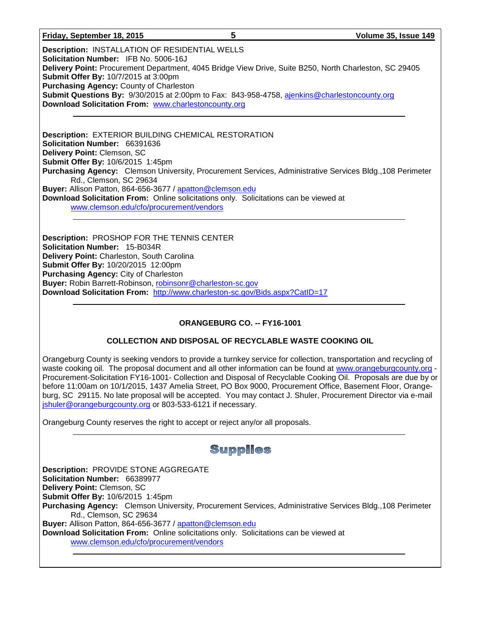#### **Friday, September 18, 2015 5 Volume 35, Issue 149**

**Description:** INSTALLATION OF RESIDENTIAL WELLS **Solicitation Number:** IFB No. 5006-16J **Delivery Point:** Procurement Department, 4045 Bridge View Drive, Suite B250, North Charleston, SC 29405 **Submit Offer By:** 10/7/2015 at 3:00pm **Purchasing Agency:** County of Charleston **Submit Questions By:** 9/30/2015 at 2:00pm to Fax: 843-958-4758, [ajenkins@charlestoncounty.org](mailto:ajenkins@charlestoncounty.org) **Download Solicitation From:** [www.charlestoncounty.org](http://www.charlestoncounty.org/)

**Description:** EXTERIOR BUILDING CHEMICAL RESTORATION **Solicitation Number:** 66391636 **Delivery Point:** Clemson, SC **Submit Offer By:** 10/6/2015 1:45pm **Purchasing Agency:** Clemson University, Procurement Services, Administrative Services Bldg.,108 Perimeter Rd., Clemson, SC 29634 **Buyer:** Allison Patton, 864-656-3677 / [apatton@clemson.edu](mailto:apatton@clemson.edu) **Download Solicitation From:** Online solicitations only. Solicitations can be viewed at [www.clemson.edu/cfo/procurement/vendors](http://www.clemson.edu/cfo/procurement/vendors)

**Description:** PROSHOP FOR THE TENNIS CENTER **Solicitation Number:** 15-B034R **Delivery Point:** Charleston, South Carolina **Submit Offer By:** 10/20/2015 12:00pm **Purchasing Agency:** City of Charleston **Buyer:** Robin Barrett-Robinson, [robinsonr@charleston-sc.gov](mailto:robinsonr@charleston-sc.gov) **Download Solicitation From:** <http://www.charleston-sc.gov/Bids.aspx?CatID=17>

#### **ORANGEBURG CO. -- FY16-1001**

#### **COLLECTION AND DISPOSAL OF RECYCLABLE WASTE COOKING OIL**

Orangeburg County is seeking vendors to provide a turnkey service for collection, transportation and recycling of waste cooking oil. The proposal document and all other information can be found at [www.orangeburgcounty.org](http://www.orangeburgcounty.org/) - Procurement-Solicitation FY16-1001- Collection and Disposal of Recyclable Cooking Oil. Proposals are due by or before 11:00am on 10/1/2015, 1437 Amelia Street, PO Box 9000, Procurement Office, Basement Floor, Orangeburg, SC 29115. No late proposal will be accepted. You may contact J. Shuler, Procurement Director via e-mail [jshuler@orangeburgcounty.org](mailto:jshuler@orangeburgcounty.org) or 803-533-6121 if necessary.

Orangeburg County reserves the right to accept or reject any/or all proposals.

| <b>Supplies</b>                                                                                                                         |  |  |  |
|-----------------------------------------------------------------------------------------------------------------------------------------|--|--|--|
| <b>Description: PROVIDE STONE AGGREGATE</b>                                                                                             |  |  |  |
| Solicitation Number: 66389977                                                                                                           |  |  |  |
| Delivery Point: Clemson, SC                                                                                                             |  |  |  |
| Submit Offer By: 10/6/2015 1:45pm                                                                                                       |  |  |  |
| Purchasing Agency: Clemson University, Procurement Services, Administrative Services Bldg., 108 Perimeter                               |  |  |  |
| Rd., Clemson, SC 29634                                                                                                                  |  |  |  |
| Buyer: Allison Patton, 864-656-3677 / apatton@clemson.edu                                                                               |  |  |  |
| <b>Download Solicitation From:</b> Online solicitations only. Solicitations can be viewed at<br>www.clemson.edu/cfo/procurement/vendors |  |  |  |
|                                                                                                                                         |  |  |  |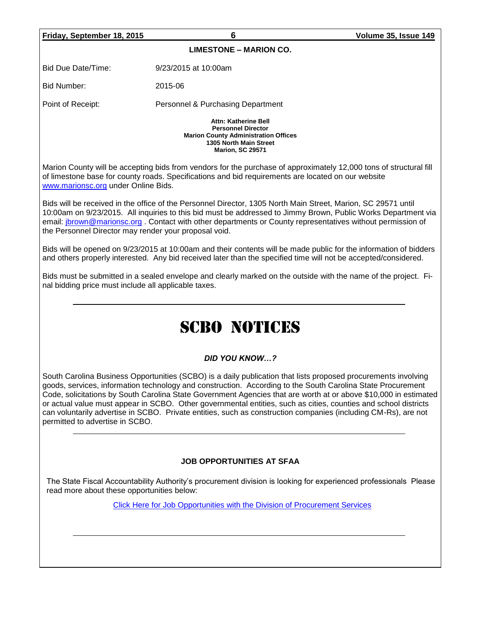**Friday, September 18, 2015 6 Volume 35, Issue 149**

**LIMESTONE – MARION CO.**

Bid Due Date/Time: 9/23/2015 at 10:00am

Bid Number: 2015-06

Point of Receipt: Personnel & Purchasing Department

**Attn: Katherine Bell Personnel Director Marion County Administration Offices 1305 North Main Street Marion, SC 29571**

Marion County will be accepting bids from vendors for the purchase of approximately 12,000 tons of structural fill of limestone base for county roads. Specifications and bid requirements are located on our website [www.marionsc.org](http://www.marionsc.org/) under Online Bids.

Bids will be received in the office of the Personnel Director, 1305 North Main Street, Marion, SC 29571 until 10:00am on 9/23/2015. All inquiries to this bid must be addressed to Jimmy Brown, Public Works Department via email: [jbrown@marionsc.org](mailto:jbrown@marionsc.org) . Contact with other departments or County representatives without permission of the Personnel Director may render your proposal void.

Bids will be opened on 9/23/2015 at 10:00am and their contents will be made public for the information of bidders and others properly interested. Any bid received later than the specified time will not be accepted/considered.

Bids must be submitted in a sealed envelope and clearly marked on the outside with the name of the project. Final bidding price must include all applicable taxes.

# SCBO NOTICES

#### *DID YOU KNOW…?*

South Carolina Business Opportunities (SCBO) is a daily publication that lists proposed procurements involving goods, services, information technology and construction. According to the South Carolina State Procurement Code, solicitations by South Carolina State Government Agencies that are worth at or above \$10,000 in estimated or actual value must appear in SCBO. Other governmental entities, such as cities, counties and school districts can voluntarily advertise in SCBO. Private entities, such as construction companies (including CM-Rs), are not permitted to advertise in SCBO.

#### **JOB OPPORTUNITIES AT SFAA**

The State Fiscal Accountability Authority's procurement division is looking for experienced professionals Please read more about these opportunities below:

[Click Here for Job Opportunities with the Division of Procurement Services](http://procurement.sc.gov/webfiles/MMO_scbo/SCBO%20Online/SFAA_job_opportunities.pdf)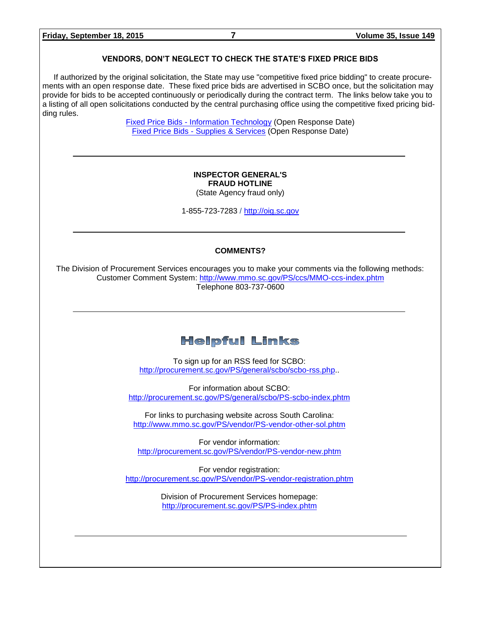#### **VENDORS, DON'T NEGLECT TO CHECK THE STATE'S FIXED PRICE BIDS**

If authorized by the original solicitation, the State may use "competitive fixed price bidding" to create procurements with an open response date. These fixed price bids are advertised in SCBO once, but the solicitation may provide for bids to be accepted continuously or periodically during the contract term. The links below take you to a listing of all open solicitations conducted by the central purchasing office using the competitive fixed pricing bidding rules.

> Fixed Price Bids - [Information Technology](http://www.mmo.sc.gov/PS/vendor/PS-vendor-fixed-price-bids-it.phtm) (Open Response Date) Fixed Price Bids - [Supplies & Services](http://www.mmo.sc.gov/PS/vendor/PS-vendor-fixed-price-bids-ss.phtm) (Open Response Date)

#### **INSPECTOR GENERAL'S FRAUD HOTLINE**

(State Agency fraud only)

1-855-723-7283 / [http://oig.sc.gov](http://oig.sc.gov/)

#### **COMMENTS?**

The Division of Procurement Services encourages you to make your comments via the following methods: Customer Comment System:<http://www.mmo.sc.gov/PS/ccs/MMO-ccs-index.phtm> Telephone 803-737-0600

### **Helpful Links**

To sign up for an RSS feed for SCBO: [http://procurement.sc.gov/PS/general/scbo/scbo-rss.php.](http://procurement.sc.gov/PS/general/scbo/scbo-rss.php).

For information about SCBO: <http://procurement.sc.gov/PS/general/scbo/PS-scbo-index.phtm>

For links to purchasing website across South Carolina: <http://www.mmo.sc.gov/PS/vendor/PS-vendor-other-sol.phtm>

For vendor information: <http://procurement.sc.gov/PS/vendor/PS-vendor-new.phtm>

For vendor registration: <http://procurement.sc.gov/PS/vendor/PS-vendor-registration.phtm>

> Division of Procurement Services homepage: <http://procurement.sc.gov/PS/PS-index.phtm>